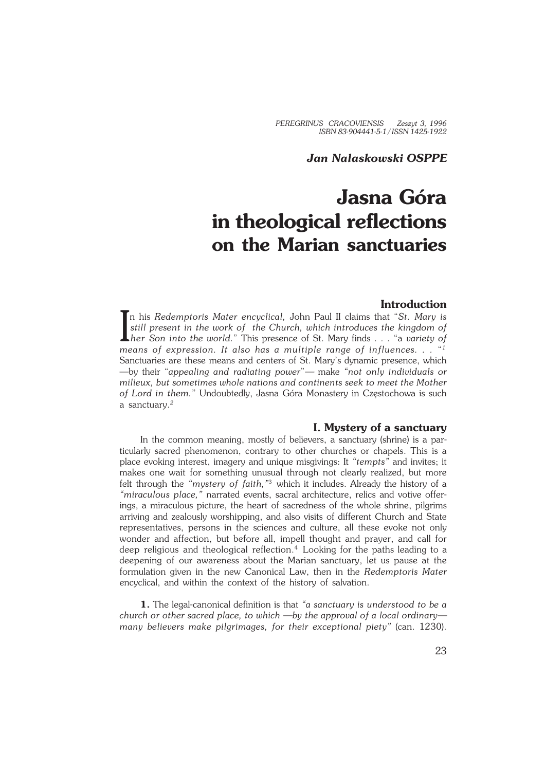*PEREGRINUS CRACOVIENSIS Zeszyt 3, 1996 ISBN 83−904441−5−1 / ISSN 1425−1922*

## *Jan Nalaskowski OSPPE*

# **Jasna Góra in theological reflections on the Marian sanctuaries**

## **Introduction**

In his Redemptoris Mater encyclical, John Paul II claims that "St. Mary is<br>still present in the work of the Church, which introduces the kingdom of<br>her Son into the world." This presence of St. Mary finds . . . "a variety n his *Redemptoris Mater encyclical,* John Paul II claims that "*St. Mary is still present in the work of the Church, which introduces the kingdom of means of expression. It also has a multiple range of influences. . .* " *1* Sanctuaries are these means and centers of St. Mary's dynamic presence, which —by their "*appealing and radiating power*"*—* make *"not only individuals or milieux, but sometimes whole nations and continents seek to meet the Mother of Lord in them.*" Undoubtedly, Jasna Góra Monastery in Częstochowa is such a sanctuary.*<sup>2</sup>*

## **I. Mystery of a sanctuary**

In the common meaning, mostly of believers, a sanctuary (shrine) is a par− ticularly sacred phenomenon, contrary to other churches or chapels. This is a place evoking interest, imagery and unique misgivings: It *"tempts"* and invites; it makes one wait for something unusual through not clearly realized, but more felt through the *"mystery of faith,"*<sup>3</sup> which it includes. Already the history of a *"miraculous place,"* narrated events, sacral architecture, relics and votive offer− ings, a miraculous picture, the heart of sacredness of the whole shrine, pilgrims arriving and zealously worshipping, and also visits of different Church and State representatives, persons in the sciences and culture, all these evoke not only wonder and affection, but before all, impell thought and prayer, and call for deep religious and theological reflection.<sup>4</sup> Looking for the paths leading to a deepening of our awareness about the Marian sanctuary, let us pause at the formulation given in the new Canonical Law, then in the *Redemptoris Mater* encyclical, and within the context of the history of salvation.

**1.** The legal−canonical definition is that *"a sanctuary is understood to be a church or other sacred place, to which —by the approval of a local ordinary many believers make pilgrimages, for their exceptional piety"* (can. 1230).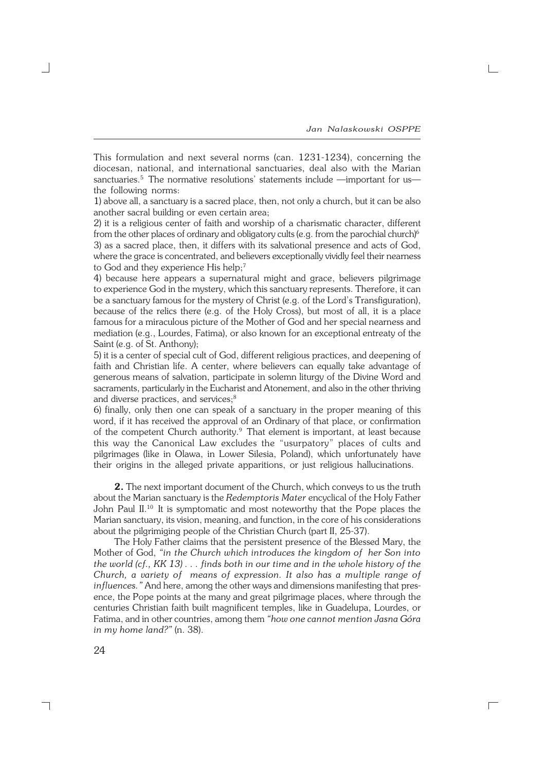$\Box$ 

This formulation and next several norms (can. 1231−1234), concerning the diocesan, national, and international sanctuaries, deal also with the Marian sanctuaries.<sup>5</sup> The normative resolutions' statements include —important for us the following norms:

1) above all, a sanctuary is a sacred place, then, not only a church, but it can be also another sacral building or even certain area;

2) it is a religious center of faith and worship of a charismatic character, different from the other places of ordinary and obligatory cults (e.g. from the parochial church)<sup>6</sup> 3) as a sacred place, then, it differs with its salvational presence and acts of God, where the grace is concentrated, and believers exceptionally vividly feel their nearness to God and they experience His help;<sup>7</sup>

4) because here appears a supernatural might and grace, believers pilgrimage to experience God in the mystery, which this sanctuary represents. Therefore, it can be a sanctuary famous for the mystery of Christ (e.g. of the Lord's Transfiguration), because of the relics there (e.g. of the Holy Cross), but most of all, it is a place famous for a miraculous picture of the Mother of God and her special nearness and mediation (e.g., Lourdes, Fatima), or also known for an exceptional entreaty of the Saint (e.g. of St. Anthony);

5) it is a center of special cult of God, different religious practices, and deepening of faith and Christian life. A center, where believers can equally take advantage of generous means of salvation, participate in solemn liturgy of the Divine Word and sacraments, particularly in the Eucharist and Atonement, and also in the other thriving and diverse practices, and services;<sup>8</sup>

6) finally, only then one can speak of a sanctuary in the proper meaning of this word, if it has received the approval of an Ordinary of that place, or confirmation of the competent Church authority.<sup>9</sup> That element is important, at least because this way the Canonical Law excludes the "usurpatory" places of cults and pilgrimages (like in Olawa, in Lower Silesia, Poland), which unfortunately have their origins in the alleged private apparitions, or just religious hallucinations.

**2.** The next important document of the Church, which conveys to us the truth about the Marian sanctuary is the *Redemptoris Mater* encyclical of the Holy Father John Paul II.<sup>10</sup> It is symptomatic and most noteworthy that the Pope places the Marian sanctuary, its vision, meaning, and function, in the core of his considerations about the pilgrimiging people of the Christian Church (part II, 25−37).

The Holy Father claims that the persistent presence of the Blessed Mary, the Mother of God, *"in the Church which introduces the kingdom of her Son into the world (cf., KK 13) . . . finds both in our time and in the whole history of the Church, a variety of means of expression. It also has a multiple range of influences."* And here, among the other ways and dimensions manifesting that pres− ence, the Pope points at the many and great pilgrimage places, where through the centuries Christian faith built magnificent temples, like in Guadelupa, Lourdes, or Fatima, and in other countries, among them *"how one cannot mention Jasna Góra in my home land?"* (n. 38).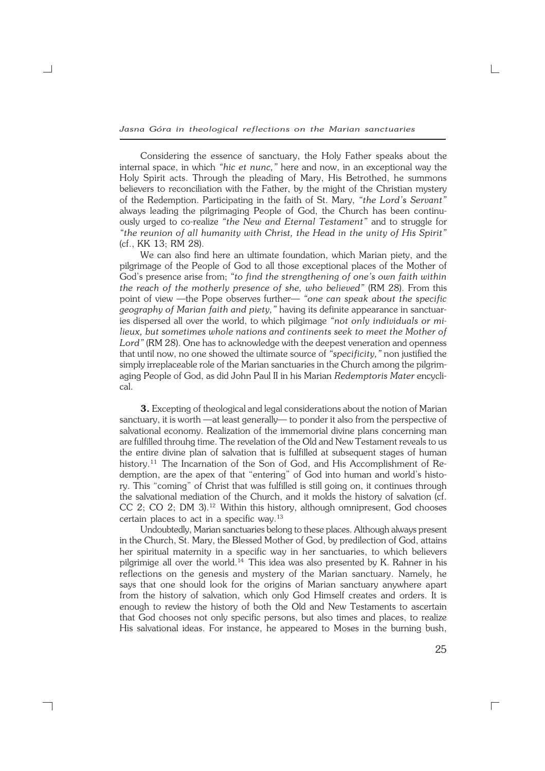*Jasna Góra in theological reflections on the Marian sanctuaries*

Considering the essence of sanctuary, the Holy Father speaks about the internal space, in which *"hic et nunc,"* here and now, in an exceptional way the Holy Spirit acts. Through the pleading of Mary, His Betrothed, he summons believers to reconciliation with the Father, by the might of the Christian mystery of the Redemption. Participating in the faith of St. Mary, *"the Lord's Servant"* always leading the pilgrimaging People of God, the Church has been continu− ously urged to co−realize *"the New and Eternal Testament"* and to struggle for *"the reunion of all humanity with Christ, the Head in the unity of His Spirit"* (cf.,KK 13; RM 28).

We can also find here an ultimate foundation, which Marian piety, and the pilgrimage of the People of God to all those exceptional places of the Mother of God's presence arise from; *"to find the strengthening of one's own faith within the reach of the motherly presence of she, who believed"* (RM 28). From this point of view —the Pope observes further— *"one can speak about the specific geography of Marian faith and piety,"* having its definite appearance in sanctuar− ies dispersed all over the world, to which pilgimage *"not only individuals or mi− lieux, but sometimes whole nations and continents seek to meet the Mother of* Lord" (RM 28). One has to acknowledge with the deepest veneration and openness that until now, no one showed the ultimate source of *"specificity,"* non justified the simply irreplaceable role of the Marian sanctuaries in the Church among the pilgrim− aging People of God, as did John Paul II in his Marian *Redemptoris Mater* encycli− cal.

**3.** Excepting of theological and legal considerations about the notion of Marian sanctuary, it is worth —at least generally— to ponder it also from the perspective of salvational economy. Realization of the immemorial divine plans concerning man are fulfilled throuhg time. The revelation of the Old and New Testament reveals to us the entire divine plan of salvation that is fulfilled at subsequent stages of human history.<sup>11</sup> The Incarnation of the Son of God, and His Accomplishment of Re− demption, are the apex of that "entering" of God into human and world's histo− ry. This "coming" of Christ that was fulfilled is still going on, it continues through the salvational mediation of the Church, and it molds the history of salvation (cf. CC 2; CO 2; DM 3).<sup>12</sup> Within this history, although omnipresent, God chooses certain places to act in a specific way.<sup>13</sup>

Undoubtedly, Marian sanctuaries belong to these places. Although always present in the Church, St. Mary, the Blessed Mother of God, by predilection of God, attains her spiritual maternity in a specific way in her sanctuaries, to which believers pilgrimige all over the world.<sup>14</sup> This idea was also presented by K. Rahner in his reflections on the genesis and mystery of the Marian sanctuary. Namely, he says that one should look for the origins of Marian sanctuary anywhere apart from the history of salvation, which only God Himself creates and orders. It is enough to review the history of both the Old and New Testaments to ascertain that God chooses not only specific persons, but also times and places, to realize His salvational ideas. For instance, he appeared to Moses in the burning bush,

25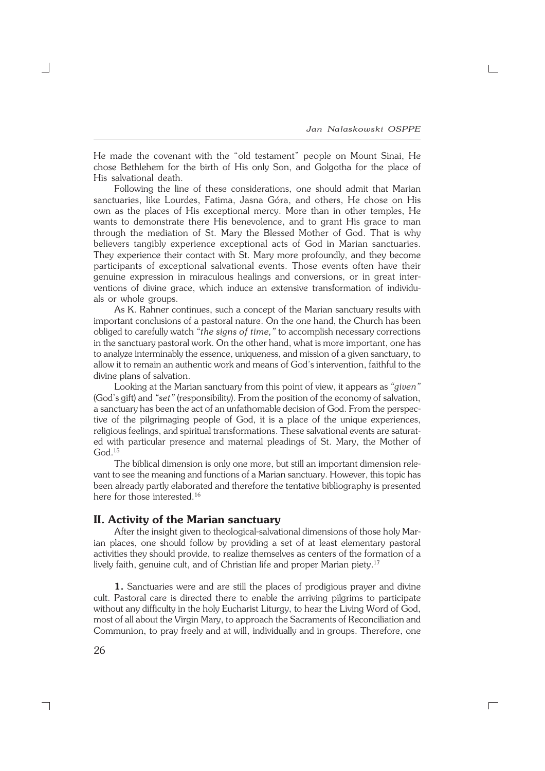$\Gamma$ 

He made the covenant with the "old testament" people on Mount Sinai, He chose Bethlehem for the birth of His only Son, and Golgotha for the place of His salvational death.

Following the line of these considerations, one should admit that Marian sanctuaries, like Lourdes, Fatima, Jasna Góra, and others, He chose on His own as the places of His exceptional mercy. More than in other temples, He wants to demonstrate there His benevolence, and to grant His grace to man through the mediation of St. Mary the Blessed Mother of God. That is why believers tangibly experience exceptional acts of God in Marian sanctuaries. They experience their contact with St. Mary more profoundly, and they become participants of exceptional salvational events. Those events often have their genuine expression in miraculous healings and conversions, or in great inter− ventions of divine grace, which induce an extensive transformation of individu− als or whole groups.

As K. Rahner continues, such a concept of the Marian sanctuary results with important conclusions of a pastoral nature. On the one hand, the Church has been obliged to carefully watch *"the signs of time,"* to accomplish necessary corrections in the sanctuary pastoral work. On the other hand, what is more important, one has to analyze interminably the essence, uniqueness, and mission of a given sanctuary, to allow it to remain an authentic work and means of God's intervention, faithful to the divine plans of salvation.

Looking at the Marian sanctuary from this point of view, it appears as *"given"* (God's gift) and *"set"* (responsibility). From the position of the economy of salvation, a sanctuary has been the act of an unfathomable decision of God. From the perspec− tive of the pilgrimaging people of God, it is a place of the unique experiences, religious feelings, and spiritual transformations. These salvational events are saturat− ed with particular presence and maternal pleadings of St. Mary, the Mother of God.<sup>15</sup>

The biblical dimension is only one more, but still an important dimension rele− vant to see the meaning and functions of a Marian sanctuary. However, this topic has been already partly elaborated and therefore the tentative bibliography is presented here for those interested.<sup>16</sup>

## **II. Activity of the Marian sanctuary**

After the insight given to theological−salvational dimensions of those holy Mar− ian places, one should follow by providing a set of at least elementary pastoral activities they should provide, to realize themselves as centers of the formation of a lively faith, genuine cult, and of Christian life and proper Marian piety.<sup>17</sup>

**1.** Sanctuaries were and are still the places of prodigious prayer and divine cult. Pastoral care is directed there to enable the arriving pilgrims to participate without any difficulty in the holy Eucharist Liturgy, to hear the Living Word of God, most of all about the Virgin Mary, to approach the Sacraments of Reconciliation and Communion, to pray freely and at will, individually and in groups. Therefore, one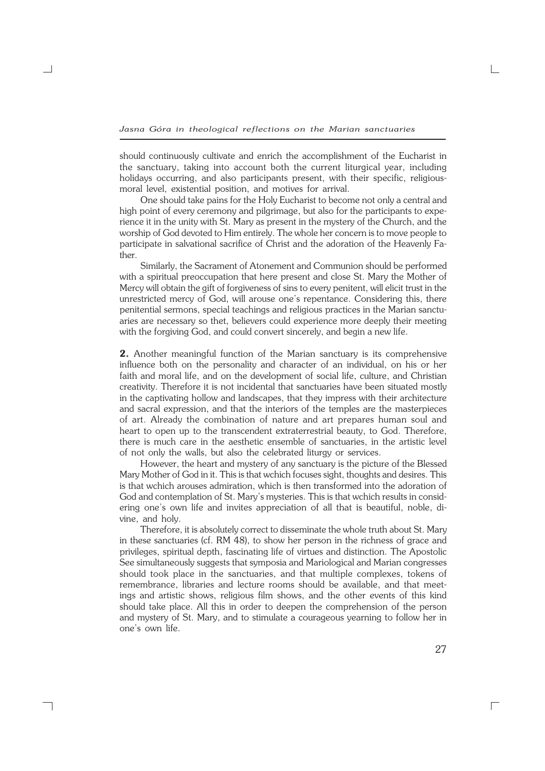should continuously cultivate and enrich the accomplishment of the Eucharist in the sanctuary, taking into account both the current liturgical year, including holidays occurring, and also participants present, with their specific, religiousmoral level, existential position, and motives for arrival.

One should take pains for the Holy Eucharist to become not only a central and high point of every ceremony and pilgrimage, but also for the participants to expe− rience it in the unity with St. Mary as present in the mystery of the Church, and the worship of God devoted to Him entirely. The whole her concern is to move people to participate in salvational sacrifice of Christ and the adoration of the Heavenly Fa− ther.

Similarly, the Sacrament of Atonement and Communion should be performed with a spiritual preoccupation that here present and close St. Mary the Mother of Mercy will obtain the gift of forgiveness of sins to every penitent, will elicit trust in the unrestricted mercy of God, will arouse one's repentance. Considering this, there penitential sermons, special teachings and religious practices in the Marian sanctu− aries are necessary so thet, believers could experience more deeply their meeting with the forgiving God, and could convert sincerely, and begin a new life.

**2.** Another meaningful function of the Marian sanctuary is its comprehensive influence both on the personality and character of an individual, on his or her faith and moral life, and on the development of social life, culture, and Christian creativity. Therefore it is not incidental that sanctuaries have been situated mostly in the captivating hollow and landscapes, that they impress with their architecture and sacral expression, and that the interiors of the temples are the masterpieces of art. Already the combination of nature and art prepares human soul and heart to open up to the transcendent extraterrestrial beauty, to God. Therefore, there is much care in the aesthetic ensemble of sanctuaries, in the artistic level of not only the walls, but also the celebrated liturgy or services.

However, the heart and mystery of any sanctuary is the picture of the Blessed Mary Mother of God in it. This is that wchich focuses sight, thoughts and desires. This is that wchich arouses admiration, which is then transformed into the adoration of God and contemplation of St. Mary's mysteries. This is that wchich results in consid− ering one's own life and invites appreciation of all that is beautiful, noble, divine, and holy.

Therefore, it is absolutely correct to disseminate the whole truth about St. Mary in these sanctuaries (cf. RM 48), to show her person in the richness of grace and privileges, spiritual depth, fascinating life of virtues and distinction. The Apostolic See simultaneously suggests that symposia and Mariological and Marian congresses should took place in the sanctuaries, and that multiple complexes, tokens of remembrance, libraries and lecture rooms should be available, and that meet− ings and artistic shows, religious film shows, and the other events of this kind should take place. All this in order to deepen the comprehension of the person and mystery of St. Mary, and to stimulate a courageous yearning to follow her in one's own life.

┐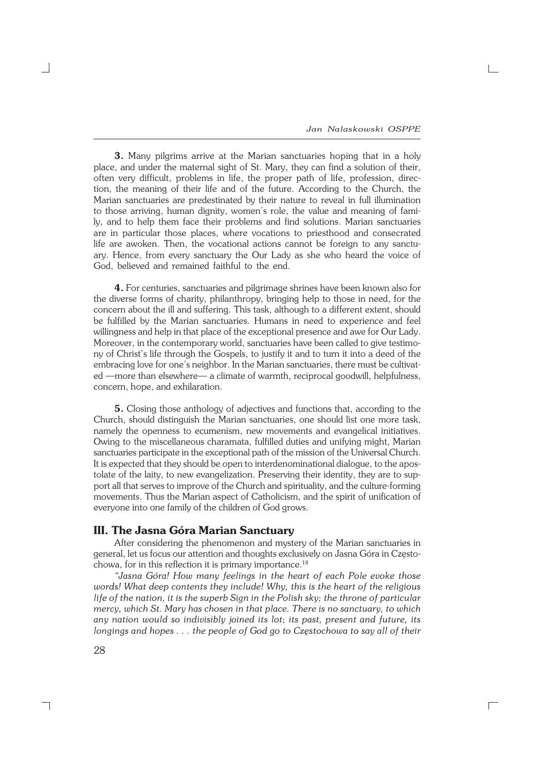$\Gamma$ 

**3.** Many pilgrims arrive at the Marian sanctuaries hoping that in a holy place, and under the maternal sight of St. Mary, they can find a solution of their, often very difficult, problems in life, the proper path of life, profession, direc− tion, the meaning of their life and of the future. According to the Church, the Marian sanctuaries are predestinated by their nature to reveal in full illumination to those arriving, human dignity, women's role, the value and meaning of fami− ly, and to help them face their problems and find solutions. Marian sanctuaries are in particular those places, where vocations to priesthood and consecrated life are awoken. Then, the vocational actions cannot be foreign to any sanctu− ary. Hence, from every sanctuary the Our Lady as she who heard the voice of God, believed and remained faithful to the end.

**4.** For centuries, sanctuaries and pilgrimage shrines have been known also for the diverse forms of charity, philanthropy, bringing help to those in need, for the concern about the ill and suffering. This task, although to a different extent, should be fulfilled by the Marian sanctuaries. Humans in need to experience and feel willingness and help in that place of the exceptional presence and awe for Our Lady. Moreover, in the contemporary world, sanctuaries have been called to give testimo− ny of Christ's life through the Gospels, to justify it and to turn it into a deed of the embracing love for one's neighbor. In the Marian sanctuaries, there must be cultivated —more than elsewhere— a climate of warmth, reciprocal goodwill, helpfulness, concern, hope, and exhilaration.

**5.** Closing those anthology of adjectives and functions that, according to the Church, should distinguish the Marian sanctuaries, one should list one more task, namely the openness to ecumenism, new movements and evangelical initiatives. Owing to the miscellaneous charamata, fulfilled duties and unifying might, Marian sanctuaries participate in the exceptional path of the mission of the Universal Church. It is expected that they should be open to interdenominational dialogue, to the apos− tolate of the laity, to new evangelization. Preserving their identity, they are to sup− port all that serves to improve of the Church and spirituality, and the culture−forming movements. Thus the Marian aspect of Catholicism, and the spirit of unification of everyone into one family of the children of God grows.

## **III. The Jasna Góra Marian Sanctuary**

After considering the phenomenon and mystery of the Marian sanctuaries in general, let us focus our attention and thoughts exclusively on Jasna Góra in Częstochowa, for in this reflection it is primary importance.<sup>18</sup>

*"Jasna Góra! How many feelings in the heart of each Pole evoke those words! What deep contents they include! Why, this is the heart of the religious life of the nation, it is the superb Sign in the Polish sky; the throne of particular mercy, which St. Mary has chosen in that place. There is no sanctuary, to which any nation would so indivisibly joined its lot; its past, present and future, its longings and hopes . . . the people of God go to Częstochowa to say all of their*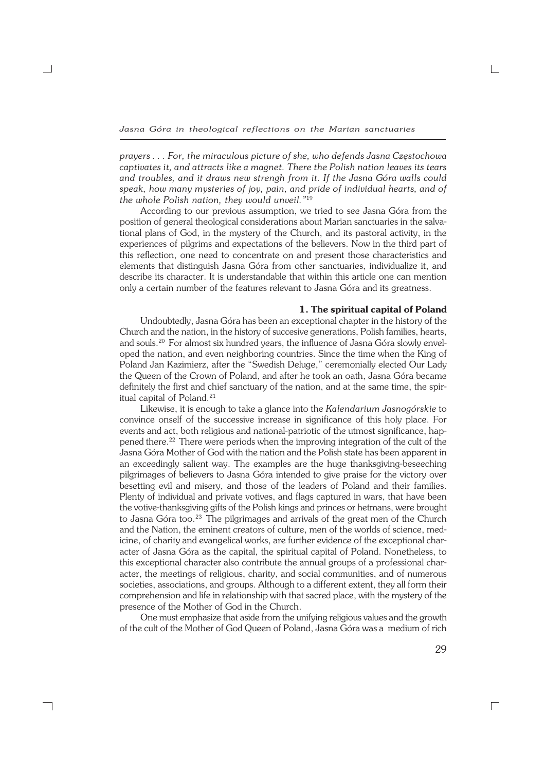*Jasna Góra in theological reflections on the Marian sanctuaries*

*prayers . . . For, the miraculous picture of she, who defends Jasna Częstochowa captivates it, and attracts like a magnet. There the Polish nation leaves its tears and troubles, and it draws new strengh from it. If the Jasna Góra walls could speak, how many mysteries of joy, pain, and pride of individual hearts, and of the whole Polish nation, they would unveil."*<sup>19</sup>

According to our previous assumption, we tried to see Jasna Góra from the position of general theological considerations about Marian sanctuaries in the salva− tional plans of God, in the mystery of the Church, and its pastoral activity, in the experiences of pilgrims and expectations of the believers. Now in the third part of this reflection, one need to concentrate on and present those characteristics and elements that distinguish Jasna Góra from other sanctuaries, individualize it, and describe its character. It is understandable that within this article one can mention only a certain number of the features relevant to Jasna Góra and its greatness.

#### **1. The spiritual capital of Poland**

Undoubtedly, Jasna Góra has been an exceptional chapter in the history of the Church and the nation, in the history of succesive generations, Polish families, hearts, and souls.<sup>20</sup> For almost six hundred years, the influence of Jasna Góra slowly envel− oped the nation, and even neighboring countries. Since the time when the King of Poland Jan Kazimierz, after the "Swedish Deluge," ceremonially elected Our Lady the Queen of the Crown of Poland, and after he took an oath, Jasna Góra became definitely the first and chief sanctuary of the nation, and at the same time, the spir− itual capital of Poland.<sup>21</sup>

Likewise, it is enough to take a glance into the *Kalendarium Jasnogórskie* to convince onself of the successive increase in significance of this holy place. For events and act, both religious and national−patriotic of the utmost significance, hap− pened there.<sup>22</sup> There were periods when the improving integration of the cult of the Jasna Góra Mother of God with the nation and the Polish state has been apparent in an exceedingly salient way. The examples are the huge thanksgiving−beseeching pilgrimages of believers to Jasna Góra intended to give praise for the victory over besetting evil and misery, and those of the leaders of Poland and their families. Plenty of individual and private votives, and flags captured in wars, that have been the votive−thanksgiving gifts of the Polish kings and princes or hetmans, were brought to Jasna Góra too.<sup>23</sup> The pilgrimages and arrivals of the great men of the Church and the Nation, the eminent creators of culture, men of the worlds of science, med− icine, of charity and evangelical works, are further evidence of the exceptional char− acter of Jasna Góra as the capital, the spiritual capital of Poland. Nonetheless, to this exceptional character also contribute the annual groups of a professional char− acter, the meetings of religious, charity, and social communities, and of numerous societies, associations, and groups. Although to a different extent, they all form their comprehension and life in relationship with that sacred place, with the mystery of the presence of the Mother of God in the Church.

One must emphasize that aside from the unifying religious values and the growth of the cult of the Mother of God Queen of Poland, Jasna Góra was a medium of rich

┑

29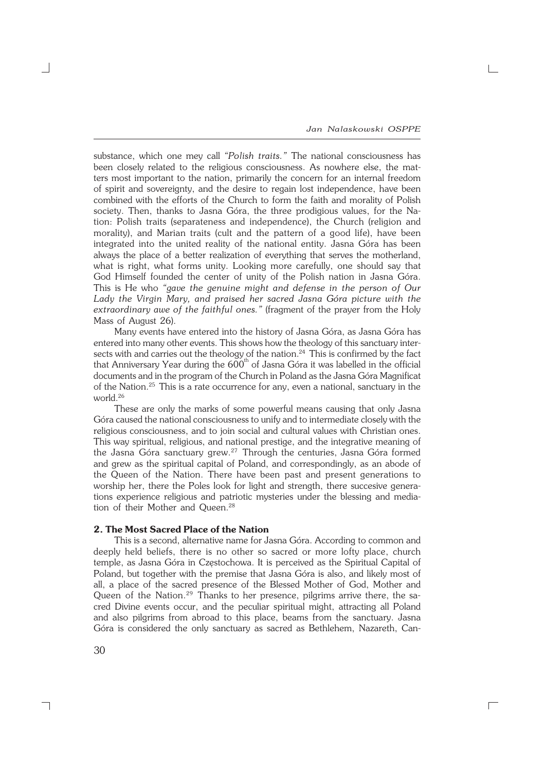*Jan Nalaskowski OSPPE*

 $\Gamma$ 

substance, which one mey call *"Polish traits."* The national consciousness has been closely related to the religious consciousness. As nowhere else, the mat− ters most important to the nation, primarily the concern for an internal freedom of spirit and sovereignty, and the desire to regain lost independence, have been combined with the efforts of the Church to form the faith and morality of Polish society. Then, thanks to Jasna Góra, the three prodigious values, for the Na− tion: Polish traits (separateness and independence), the Church (religion and morality), and Marian traits (cult and the pattern of a good life), have been integrated into the united reality of the national entity. Jasna Góra has been always the place of a better realization of everything that serves the motherland, what is right, what forms unity. Looking more carefully, one should say that God Himself founded the center of unity of the Polish nation in Jasna Góra. This is He who *"gave the genuine might and defense in the person of Our Lady the Virgin Mary, and praised her sacred Jasna Góra picture with the extraordinary awe of the faithful ones."* (fragment of the prayer from the Holy Mass of August 26).

Many events have entered into the history of Jasna Góra, as Jasna Góra has entered into many other events. This shows how the theology of this sanctuary inter− sects with and carries out the theology of the nation.<sup>24</sup> This is confirmed by the fact that Anniversary Year during the  $\rm 600^{th}$  of Jasna Góra it was labelled in the official documents and in the program of the Church in Poland as the Jasna Góra Magnificat of the Nation.<sup>25</sup> This is a rate occurrence for any, even a national, sanctuary in the world.<sup>26</sup>

These are only the marks of some powerful means causing that only Jasna Góra caused the national consciousness to unify and to intermediate closely with the religious consciousness, and to join social and cultural values with Christian ones. This way spiritual, religious, and national prestige, and the integrative meaning of the Jasna Góra sanctuary grew.<sup>27</sup> Through the centuries, Jasna Góra formed and grew as the spiritual capital of Poland, and correspondingly, as an abode of the Queen of the Nation. There have been past and present generations to worship her, there the Poles look for light and strength, there succesive genera− tions experience religious and patriotic mysteries under the blessing and media− tion of their Mother and Queen.<sup>28</sup>

### **2. The Most Sacred Place of the Nation**

This is a second, alternative name for Jasna Góra. According to common and deeply held beliefs, there is no other so sacred or more lofty place, church temple, as Jasna Góra in Częstochowa. It is perceived as the Spiritual Capital of Poland, but together with the premise that Jasna Góra is also, and likely most of all, a place of the sacred presence of the Blessed Mother of God, Mother and Queen of the Nation.<sup>29</sup> Thanks to her presence, pilgrims arrive there, the sacred Divine events occur, and the peculiar spiritual might, attracting all Poland and also pilgrims from abroad to this place, beams from the sanctuary. Jasna Góra is considered the only sanctuary as sacred as Bethlehem, Nazareth, Can−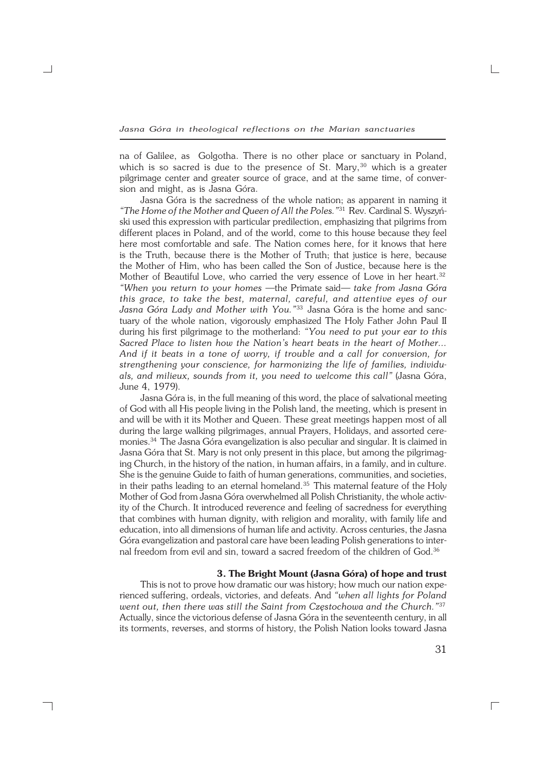na of Galilee, as Golgotha. There is no other place or sanctuary in Poland, which is so sacred is due to the presence of St. Mary, $30$  which is a greater pilgrimage center and greater source of grace, and at the same time, of conversion and might, as is Jasna Góra.

Jasna Góra is the sacredness of the whole nation; as apparent in naming it *"The Home of the Mother and Queen of All the Poles."*<sup>31</sup> Rev. Cardinal S. Wyszyń− ski used this expression with particular predilection, emphasizing that pilgrims from different places in Poland, and of the world, come to this house because they feel here most comfortable and safe. The Nation comes here, for it knows that here is the Truth, because there is the Mother of Truth; that justice is here, because the Mother of Him, who has been called the Son of Justice, because here is the Mother of Beautiful Love, who carried the very essence of Love in her heart.<sup>32</sup> *"When you return to your homes —*the Primate said*— take from Jasna Góra this grace, to take the best, maternal, careful, and attentive eyes of our Jasna Góra Lady and Mother with You."*<sup>33</sup> Jasna Góra is the home and sanc− tuary of the whole nation, vigorously emphasized The Holy Father John Paul II during his first pilgrimage to the motherland: *"You need to put your ear to this Sacred Place to listen how the Nation's heart beats in the heart of Mother... And if it beats in a tone of worry, if trouble and a call for conversion, for strengthening your conscience, for harmonizing the life of families, individu− als, and milieux, sounds from it, you need to welcome this call"* (Jasna Góra, June 4, 1979).

Jasna Góra is, in the full meaning of this word, the place of salvational meeting of God with all His people living in the Polish land, the meeting, which is present in and will be with it its Mother and Queen. These great meetings happen most of all during the large walking pilgrimages, annual Prayers, Holidays, and assorted cere− monies.<sup>34</sup> The Jasna Góra evangelization is also peculiar and singular. It is claimed in Jasna Góra that St. Mary is not only present in this place, but among the pilgrimag− ing Church, in the history of the nation, in human affairs, in a family, and in culture. She is the genuine Guide to faith of human generations, communities, and societies, in their paths leading to an eternal homeland.<sup>35</sup> This maternal feature of the Holy Mother of God from Jasna Góra overwhelmed all Polish Christianity, the whole activ− ity of the Church. It introduced reverence and feeling of sacredness for everything that combines with human dignity, with religion and morality, with family life and education, into all dimensions of human life and activity. Across centuries, the Jasna Góra evangelization and pastoral care have been leading Polish generations to inter− nal freedom from evil and sin, toward a sacred freedom of the children of God.<sup>36</sup>

#### **3. The Bright Mount (Jasna Góra) of hope and trust**

This is not to prove how dramatic our was history; how much our nation expe− rienced suffering, ordeals, victories, and defeats. And *"when all lights for Poland went out, then there was still the Saint from Częstochowa and the Church."*<sup>37</sup> Actually, since the victorious defense of Jasna Góra in the seventeenth century, in all its torments, reverses, and storms of history, the Polish Nation looks toward Jasna

┐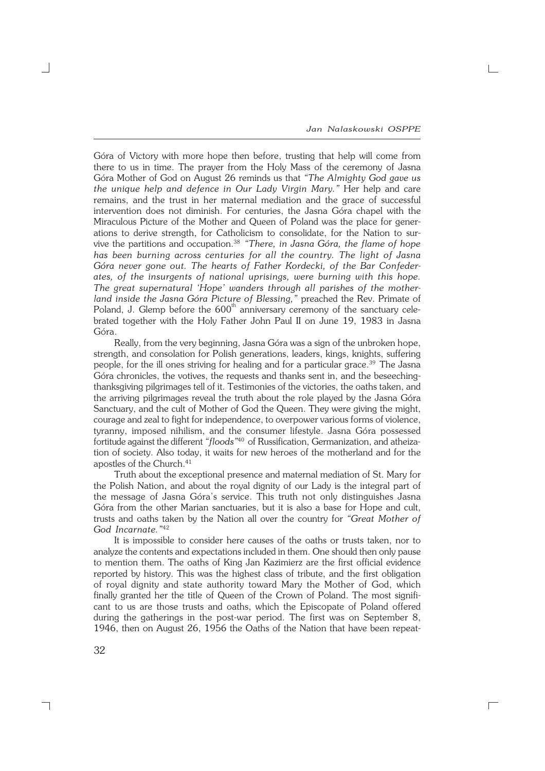*Jan Nalaskowski OSPPE*

 $\Gamma$ 

Góra of Victory with more hope then before, trusting that help will come from there to us in time. The prayer from the Holy Mass of the ceremony of Jasna Góra Mother of God on August 26 reminds us that *"The Almighty God gave us the unique help and defence in Our Lady Virgin Mary."* Her help and care remains, and the trust in her maternal mediation and the grace of successful intervention does not diminish. For centuries, the Jasna Góra chapel with the Miraculous Picture of the Mother and Queen of Poland was the place for gener− ations to derive strength, for Catholicism to consolidate, for the Nation to sur− vive the partitions and occupation.<sup>38</sup> *"There, in Jasna Góra, the flame of hope has been burning across centuries for all the country. The light of Jasna Góra never gone out. The hearts of Father Kordecki, of the Bar Confeder− ates, of the insurgents of national uprisings, were burning with this hope. The great supernatural 'Hope' wanders through all parishes of the mother− land inside the Jasna Góra Picture of Blessing,"* preached the Rev. Primate of Poland, J. Glemp before the 600<sup>th</sup> anniversary ceremony of the sanctuary celebrated together with the Holy Father John Paul II on June 19, 1983 in Jasna Góra.

Really, from the very beginning, Jasna Góra was a sign of the unbroken hope, strength, and consolation for Polish generations, leaders, kings, knights, suffering people, for the ill ones striving for healing and for a particular grace.<sup>39</sup> The Jasna Góra chronicles, the votives, the requests and thanks sent in, and the beseeching− thanksgiving pilgrimages tell of it. Testimonies of the victories, the oaths taken, and the arriving pilgrimages reveal the truth about the role played by the Jasna Góra Sanctuary, and the cult of Mother of God the Queen. They were giving the might, courage and zeal to fight for independence, to overpower various forms of violence, tyranny, imposed nihilism, and the consumer lifestyle. Jasna Góra possessed fortitude against the different *"floods"*<sup>40</sup> of Russification, Germanization, and atheiza− tion of society. Also today, it waits for new heroes of the motherland and for the apostles of the Church.<sup>41</sup>

Truth about the exceptional presence and maternal mediation of St. Mary for the Polish Nation, and about the royal dignity of our Lady is the integral part of the message of Jasna Góra's service. This truth not only distinguishes Jasna Góra from the other Marian sanctuaries, but it is also a base for Hope and cult, trusts and oaths taken by the Nation all over the country for *"Great Mother of God Incarnate."*<sup>42</sup>

It is impossible to consider here causes of the oaths or trusts taken, nor to analyze the contents and expectations included in them. One should then only pause to mention them. The oaths of King Jan Kazimierz are the first official evidence reported by history. This was the highest class of tribute, and the first obligation of royal dignity and state authority toward Mary the Mother of God, which finally granted her the title of Queen of the Crown of Poland. The most significant to us are those trusts and oaths, which the Episcopate of Poland offered during the gatherings in the post−war period. The first was on September 8, 1946, then on August 26, 1956 the Oaths of the Nation that have been repeat−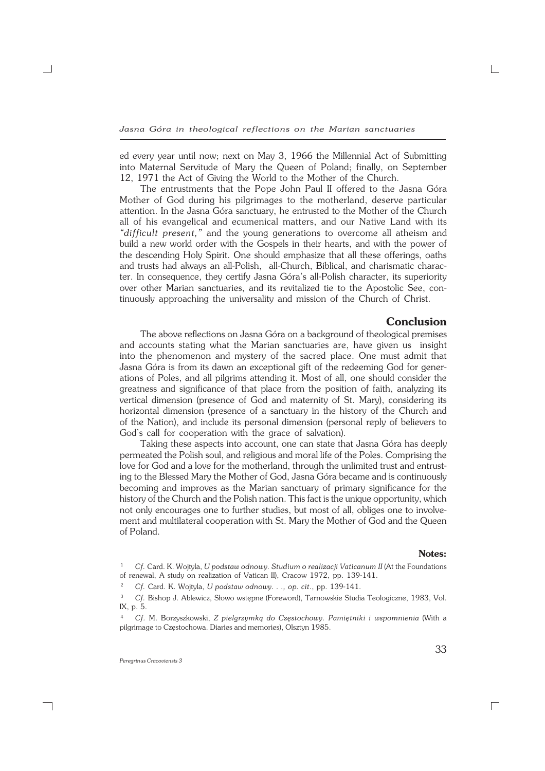ed every year until now; next on May 3, 1966 the Millennial Act of Submitting into Maternal Servitude of Mary the Queen of Poland; finally, on September 12, 1971 the Act of Giving the World to the Mother of the Church.

The entrustments that the Pope John Paul II offered to the Jasna Góra Mother of God during his pilgrimages to the motherland, deserve particular attention. In the Jasna Góra sanctuary, he entrusted to the Mother of the Church all of his evangelical and ecumenical matters, and our Native Land with its *"difficult present,"* and the young generations to overcome all atheism and build a new world order with the Gospels in their hearts, and with the power of the descending Holy Spirit. One should emphasize that all these offerings, oaths and trusts had always an all−Polish, all−Church, Biblical, and charismatic charac− ter. In consequence, they certify Jasna Góra's all−Polish character, its superiority over other Marian sanctuaries, and its revitalized tie to the Apostolic See, con− tinuously approaching the universality and mission of the Church of Christ.

#### **Conclusion**

The above reflections on Jasna Góra on a background of theological premises and accounts stating what the Marian sanctuaries are, have given us insight into the phenomenon and mystery of the sacred place. One must admit that Jasna Góra is from its dawn an exceptional gift of the redeeming God for gener− ations of Poles, and all pilgrims attending it. Most of all, one should consider the greatness and significance of that place from the position of faith, analyzing its vertical dimension (presence of God and maternity of St. Mary), considering its horizontal dimension (presence of a sanctuary in the history of the Church and of the Nation), and include its personal dimension (personal reply of believers to God's call for cooperation with the grace of salvation).

Taking these aspects into account, one can state that Jasna Góra has deeply permeated the Polish soul, and religious and moral life of the Poles. Comprising the love for God and a love for the motherland, through the unlimited trust and entrust− ing to the Blessed Mary the Mother of God, Jasna Góra became and is continuously becoming and improves as the Marian sanctuary of primary significance for the history of the Church and the Polish nation. This fact is the unique opportunity, which not only encourages one to further studies, but most of all, obliges one to involve− ment and multilateral cooperation with St. Mary the Mother of God and the Queen of Poland.

#### **Notes:**

33

<sup>1</sup> *Cf.* Card. K. Wojtyla, *U podstaw odnowy. Studium o realizacji Vaticanum II* (At the Foundations of renewal, A study on realization of Vatican II), Cracow 1972, pp. 139−141.

<sup>2</sup> *Cf.* Card. K. Wojtyla, *U podstaw odnowy. . ., op. cit*., pp. 139−141.

<sup>3</sup> *Cf.* Bishop J. Ablewicz, Słowo wstępne (Foreword), Tarnowskie Studia Teologiczne, 1983, Vol. IX, p. 5.

<sup>4</sup> *Cf.* M. Borzyszkowski, *Z pielgrzymką do Częstochowy. Pamiętniki i wspomnienia* (With a pilgrimage to Częstochowa. Diaries and memories), Olsztyn 1985.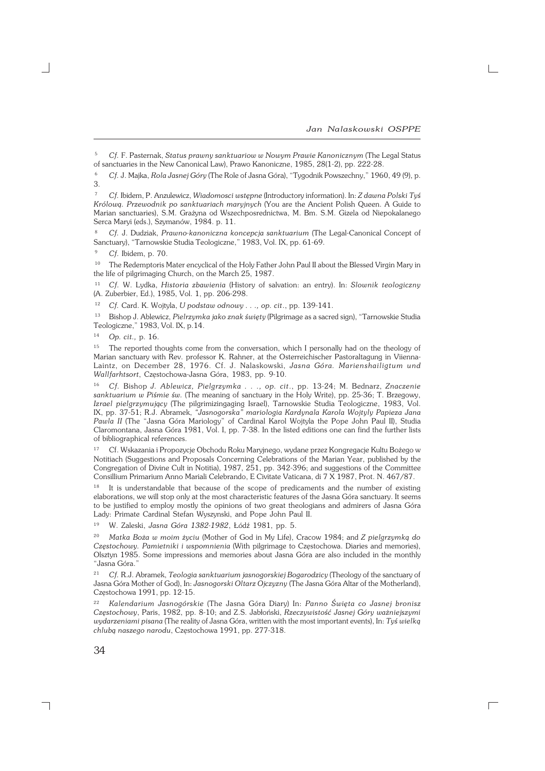$\overline{\Gamma}$ 

<sup>7</sup> *Cf.* Ibidem, P. Anzulewicz, *Wiadomosci wstępne* (Introductory information). In: *Z dawna Polski Tyś Królową. Przewodnik po sanktuariach maryjnych* (You are the Ancient Polish Queen. A Guide to Marian sanctuaries), S.M. Grażyna od Wszechposrednictwa, M. Bm. S.M. Gizela od Niepokalanego Serca Maryi (eds.), Szymanów, 1984. p. 11.

<sup>8</sup> *Cf.* J. Dudziak, *Prawno−kanoniczna koncepcja sanktuarium* (The Legal−Canonical Concept of Sanctuary), "Tarnowskie Studia Teologiczne," 1983, Vol. IX, pp. 61−69.

<sup>9</sup> *Cf.* Ibidem, p. 70.

<sup>10</sup> The Redemptoris Mater encyclical of the Holy Father John Paul II about the Blessed Virgin Mary in the life of pilgrimaging Church, on the March 25, 1987.

<sup>11</sup> *Cf.* W. Lydka, *Historia zbawienia* (History of salvation: an entry). In: *Slownik teologiczny* (A.Zuberbier, Ed.), 1985, Vol. 1, pp. 206−298.

<sup>12</sup> *Cf.* Card. K. Wojtyla, *U podstaw odnowy . . ., op. cit*., pp. 139−141.

<sup>13</sup> Bishop J. Ablewicz, *Pielrzymka jako znak święty* (Pilgrimage as a sacred sign), "Tarnowskie Studia Teologiczne," 1983, Vol. IX, p.14.

<sup>14</sup> *Op. cit.,* p. 16.

<sup>15</sup> The reported thoughts come from the conversation, which I personally had on the theology of Marian sanctuary with Rev. professor K. Rahner, at the Osterreichischer Pastoraltagung in Viienna− Laintz, on December 28, 1976. Cf. J. Nalaskowski, *Jasna Góra. Marienshailigtum und Wallfarhtsort*, Częstochowa−Jasna Góra, 1983, pp. 9−10.

<sup>16</sup> *Cf.* Bishop *J. Ablewicz, Pielgrzymka . . ., op. cit*., pp. 13−24; M. Bednarz, *Znaczenie sanktuarium w Piśmie św.* (The meaning of sanctuary in the Holy Write), pp. 25−36; T. Brzegowy, *Izrael pielgrzymujący* (The pilgrimizingaging Israel), Tarnowskie Studia Teologiczne, 1983, Vol. IX, pp. 37−51; R.J. Abramek, *"Jasnogorska" mariologia Kardynala Karola Wojtyly Papieza Jana Pawla II* (The "Jasna Góra Mariology" of Cardinal Karol Wojtyla the Pope John Paul II), Studia Claromontana, Jasna Góra 1981, Vol. I, pp. 7−38. In the listed editions one can find the further lists of bibliographical references.

<sup>17</sup> Cf. Wskazania i Propozycje Obchodu Roku Maryjnego, wydane przez Kongregacje Kultu Bożego w Notitiach (Suggestions and Proposals Concerning Celebrations of the Marian Year, published by the Congregation of Divine Cult in Notitia), 1987, 251, pp. 342−396; and suggestions of the Committee Consillium Primarium Anno Mariali Celebrando, E Civitate Vaticana, di 7 X 1987, Prot. N. 467/87.

<sup>18</sup> It is understandable that because of the scope of predicaments and the number of existing elaborations, we will stop only at the most characteristic features of the Jasna Góra sanctuary. It seems to be justified to employ mostly the opinions of two great theologians and admirers of Jasna Góra Lady: Primate Cardinal Stefan Wyszynski, and Pope John Paul II.

<sup>19</sup> W. Zaleski, *Jasna Góra 1382−1982*, Łódź 1981, pp. 5.

<sup>20</sup> *Matka Boża w moim życiu* (Mother of God in My Life), Cracow 1984; and *Z pielgrzymką do Częstochowy. Pamietniki i wspomnienia* (With pilgrimage to Częstochowa. Diaries and memories), Olsztyn 1985. Some impressions and memories about Jasna Góra are also included in the monthly "Jasna Góra."

<sup>21</sup> *Cf.* R.J. Abramek, *Teologia sanktuarium jasnogorskiej Bogarodzicy* (Theology of the sanctuary of Jasna Góra Mother of God), In: *Jasnogorski Oltarz Ojczyzny* (The Jasna Góra Altar of the Motherland), Częstochowa 1991, pp. 12−15.

<sup>22</sup> *Kalendarium Jasnogórskie* (The Jasna Góra Diary) In: *Panno Święta co Jasnej bronisz Częstochowy*, Paris, 1982, pp. 8−10; and Z.S. Jabłoński, *Rzeczywistość Jasnej Góry ważniejszymi wydarzeniami pisana* (The reality of Jasna Góra, written with the most important events), In: *Tyś wielką chlubą naszego narodu*, Częstochowa 1991, pp. 277−318.

<sup>5</sup> *Cf.* F. Pasternak, *Status prawny sanktuariow w Nowym Prawie Kanonicznym* (The Legal Status of sanctuaries in the New Canonical Law), Prawo Kanoniczne, 1985, 28(1−2), pp. 222−28.

<sup>6</sup> *Cf.* J. Majka, *Rola Jasnej Góry* (The Role of Jasna Góra), "Tygodnik Powszechny," 1960, 49 (9), p. 3.